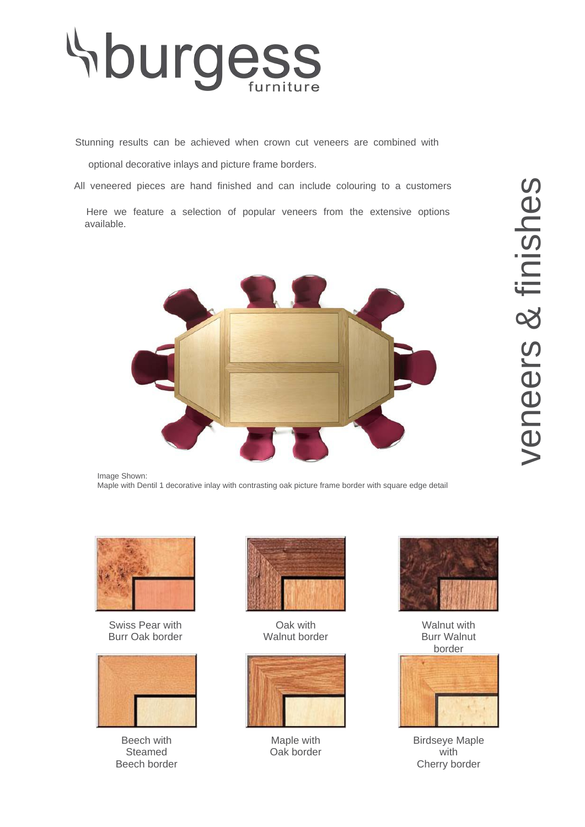

Stunning results can be achieved when crown cut veneers are combined with

optional decorative inlays and picture frame borders.

All veneered pieces are hand finished and can include colouring to a customers

Here we feature a selection of popular veneers from the extensive options available.



Image Shown: Maple with Dentil 1 decorative inlay with contrasting oak picture frame border with square edge detail



Swiss Pear with Burr Oak border



Beech with Steamed Beech border



Oak with Walnut border



Maple with Oak border



Walnut with Burr Walnut border



Birdseye Maple with Cherry border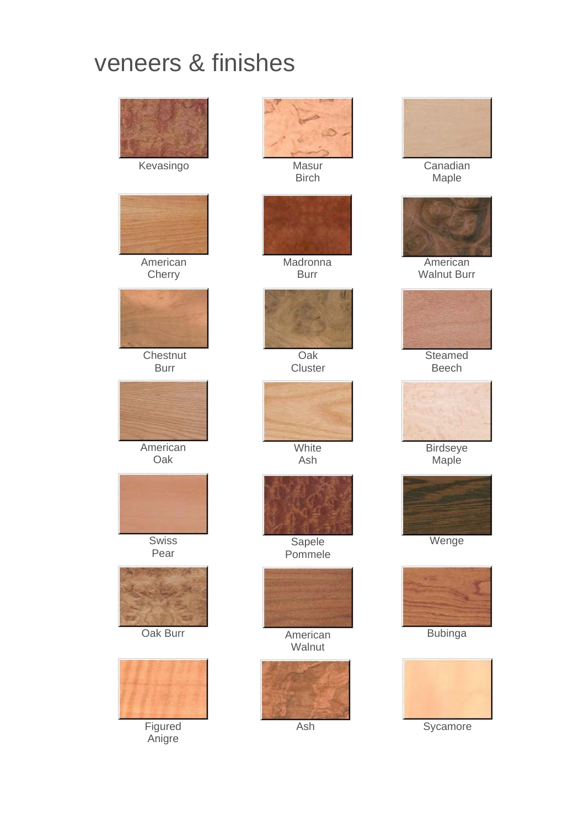## veneers & finishes





American **Cherry** 



**Chestnut** Burr



**American** Oak



Swiss Pear





**Figured** Anigre



Birch



Madronna Burr



Oak **Cluster** 



**White** Ash



**Sapele** Pommele



**Walnut** 





**Canadian** Maple



**American** Walnut Burr



Beech



**Birdseye** Maple



**Wenge** 



Bubinga



Ash Sycamore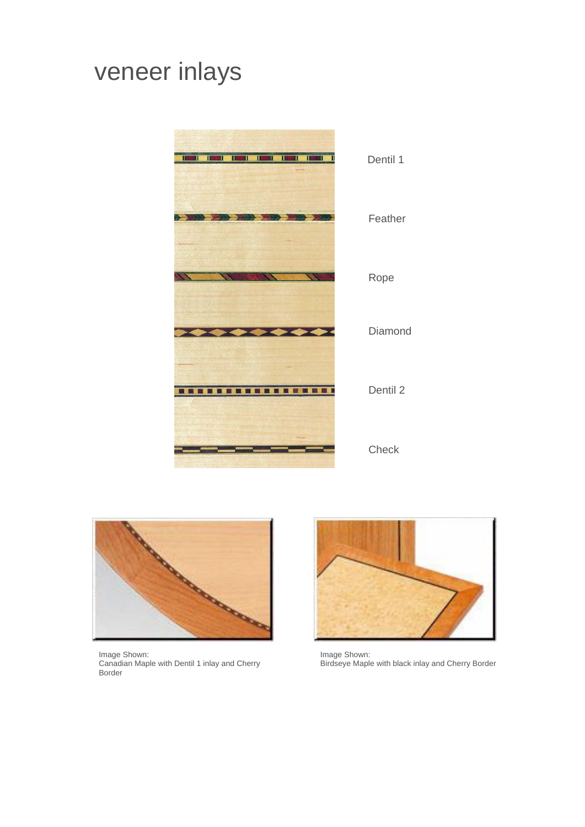## veneer inlays





Image Shown: Canadian Maple with Dentil 1 inlay and Cherry Border



Image Shown: Birdseye Maple with black inlay and Cherry Border